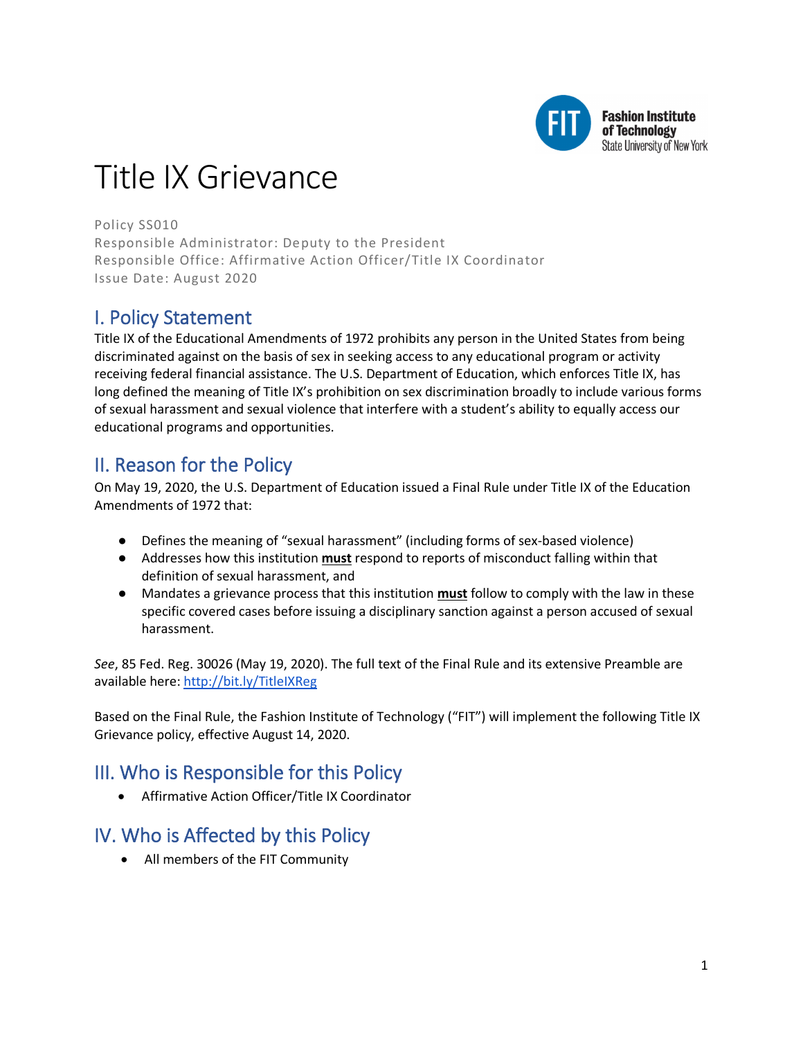

#### **Fashion Institute** of Technology State University of New York

# Title IX Grievance

Policy SS010 Responsible Administrator: Deputy to the President Responsible Office: Affirmative Action Officer/Title IX Coordinator Issue Date: August 2020

# I. Policy Statement

Title IX of the Educational Amendments of 1972 prohibits any person in the United States from being discriminated against on the basis of sex in seeking access to any educational program or activity receiving federal financial assistance. The U.S. Department of Education, which enforces Title IX, has long defined the meaning of Title IX's prohibition on sex discrimination broadly to include various forms of sexual harassment and sexual violence that interfere with a student's ability to equally access our educational programs and opportunities.

# II. Reason for the Policy

On May 19, 2020, the U.S. Department of Education issued a Final Rule under Title IX of the Education Amendments of 1972 that:

- Defines the meaning of "sexual harassment" (including forms of sex-based violence)
- Addresses how this institution **must** respond to reports of misconduct falling within that definition of sexual harassment, and
- Mandates a grievance process that this institution **must** follow to comply with the law in these specific covered cases before issuing a disciplinary sanction against a person accused of sexual harassment.

*See*, 85 Fed. Reg. 30026 (May 19, 2020). The full text of the Final Rule and its extensive Preamble are available here: http://bit.ly/TitleIXReg

Based on the Final Rule, the Fashion Institute of Technology ("FIT") will implement the following Title IX Grievance policy, effective August 14, 2020.

# III. Who is Responsible for this Policy

• Affirmative Action Officer/Title IX Coordinator

# IV. Who is Affected by this Policy

• All members of the FIT Community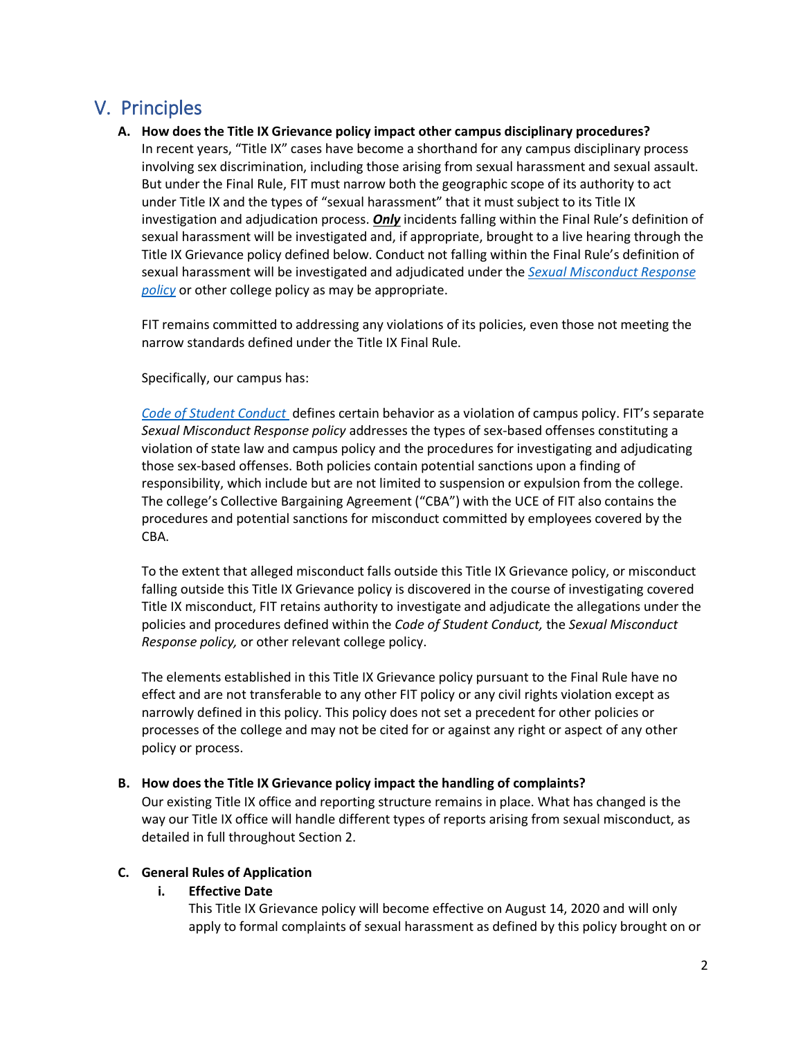# V. Principles

# **A. How does the Title IX Grievance policy impact other campus disciplinary procedures?**

In recent years, "Title IX" cases have become a shorthand for any campus disciplinary process involving sex discrimination, including those arising from sexual harassment and sexual assault. But under the Final Rule, FIT must narrow both the geographic scope of its authority to act under Title IX and the types of "sexual harassment" that it must subject to its Title IX investigation and adjudication process. *Only* incidents falling within the Final Rule's definition of sexual harassment will be investigated and, if appropriate, brought to a live hearing through the Title IX Grievance policy defined below. Conduct not falling within the Final Rule's definition of sexual harassment will be investigated and adjudicated under the *[Sexual Misconduct Response](http://www.fitnyc.edu/policies/safety-security/sexual-assault-stalking-abuse.php)  [policy](http://www.fitnyc.edu/policies/safety-security/sexual-assault-stalking-abuse.php)* or other college policy as may be appropriate.

FIT remains committed to addressing any violations of its policies, even those not meeting the narrow standards defined under the Title IX Final Rule.

Specifically, our campus has:

*[Code of Student Conduct](http://www.fitnyc.edu/policies/enrollment-management/code-of-conduct.php)* defines certain behavior as a violation of campus policy. FIT's separate *Sexual Misconduct Response policy* addresses the types of sex-based offenses constituting a violation of state law and campus policy and the procedures for investigating and adjudicating those sex-based offenses. Both policies contain potential sanctions upon a finding of responsibility, which include but are not limited to suspension or expulsion from the college. The college's Collective Bargaining Agreement ("CBA") with the UCE of FIT also contains the procedures and potential sanctions for misconduct committed by employees covered by the CBA.

To the extent that alleged misconduct falls outside this Title IX Grievance policy, or misconduct falling outside this Title IX Grievance policy is discovered in the course of investigating covered Title IX misconduct, FIT retains authority to investigate and adjudicate the allegations under the policies and procedures defined within the *Code of Student Conduct,* the *Sexual Misconduct Response policy,* or other relevant college policy.

The elements established in this Title IX Grievance policy pursuant to the Final Rule have no effect and are not transferable to any other FIT policy or any civil rights violation except as narrowly defined in this policy. This policy does not set a precedent for other policies or processes of the college and may not be cited for or against any right or aspect of any other policy or process.

# **B. How does the Title IX Grievance policy impact the handling of complaints?**

Our existing Title IX office and reporting structure remains in place. What has changed is the way our Title IX office will handle different types of reports arising from sexual misconduct, as detailed in full throughout Section 2.

# **C. General Rules of Application**

# **i. Effective Date**

This Title IX Grievance policy will become effective on August 14, 2020 and will only apply to formal complaints of sexual harassment as defined by this policy brought on or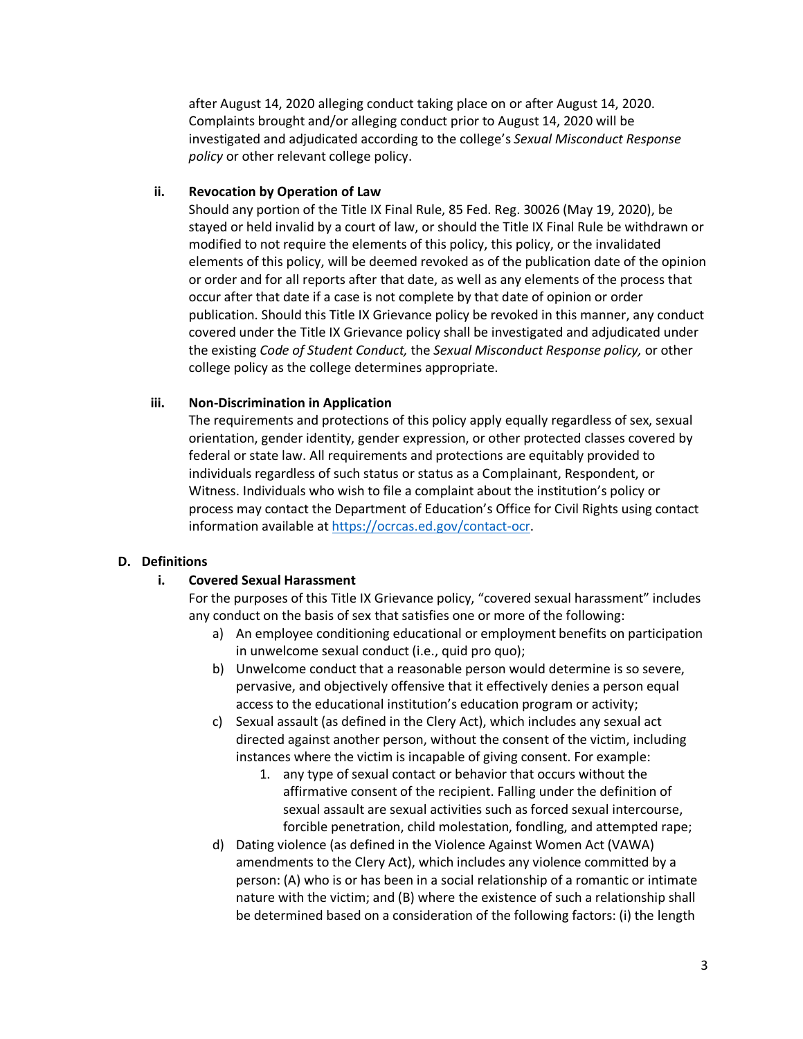after August 14, 2020 alleging conduct taking place on or after August 14, 2020. Complaints brought and/or alleging conduct prior to August 14, 2020 will be investigated and adjudicated according to the college's *Sexual Misconduct Response policy* or other relevant college policy.

# **ii. Revocation by Operation of Law**

Should any portion of the Title IX Final Rule, 85 Fed. Reg. 30026 (May 19, 2020), be stayed or held invalid by a court of law, or should the Title IX Final Rule be withdrawn or modified to not require the elements of this policy, this policy, or the invalidated elements of this policy, will be deemed revoked as of the publication date of the opinion or order and for all reports after that date, as well as any elements of the process that occur after that date if a case is not complete by that date of opinion or order publication. Should this Title IX Grievance policy be revoked in this manner, any conduct covered under the Title IX Grievance policy shall be investigated and adjudicated under the existing *Code of Student Conduct,* the *Sexual Misconduct Response policy,* or other college policy as the college determines appropriate.

# **iii. Non-Discrimination in Application**

The requirements and protections of this policy apply equally regardless of sex, sexual orientation, gender identity, gender expression, or other protected classes covered by federal or state law. All requirements and protections are equitably provided to individuals regardless of such status or status as a Complainant, Respondent, or Witness. Individuals who wish to file a complaint about the institution's policy or process may contact the Department of Education's Office for Civil Rights using contact information available at [https://ocrcas.ed.gov/contact-ocr.](https://ocrcas.ed.gov/contact-ocr)

# **D. Definitions**

# **i. Covered Sexual Harassment**

- For the purposes of this Title IX Grievance policy, "covered sexual harassment" includes any conduct on the basis of sex that satisfies one or more of the following:
	- a) An employee conditioning educational or employment benefits on participation in unwelcome sexual conduct (i.e., quid pro quo);
	- b) Unwelcome conduct that a reasonable person would determine is so severe, pervasive, and objectively offensive that it effectively denies a person equal access to the educational institution's education program or activity;
	- c) Sexual assault (as defined in the Clery Act), which includes any sexual act directed against another person, without the consent of the victim, including instances where the victim is incapable of giving consent. For example:
		- 1. any type of sexual contact or behavior that occurs without the affirmative consent of the recipient. Falling under the definition of sexual assault are sexual activities such as forced sexual intercourse, forcible penetration, child molestation, fondling, and attempted rape;
	- d) Dating violence (as defined in the Violence Against Women Act (VAWA) amendments to the Clery Act), which includes any violence committed by a person: (A) who is or has been in a social relationship of a romantic or intimate nature with the victim; and (B) where the existence of such a relationship shall be determined based on a consideration of the following factors: (i) the length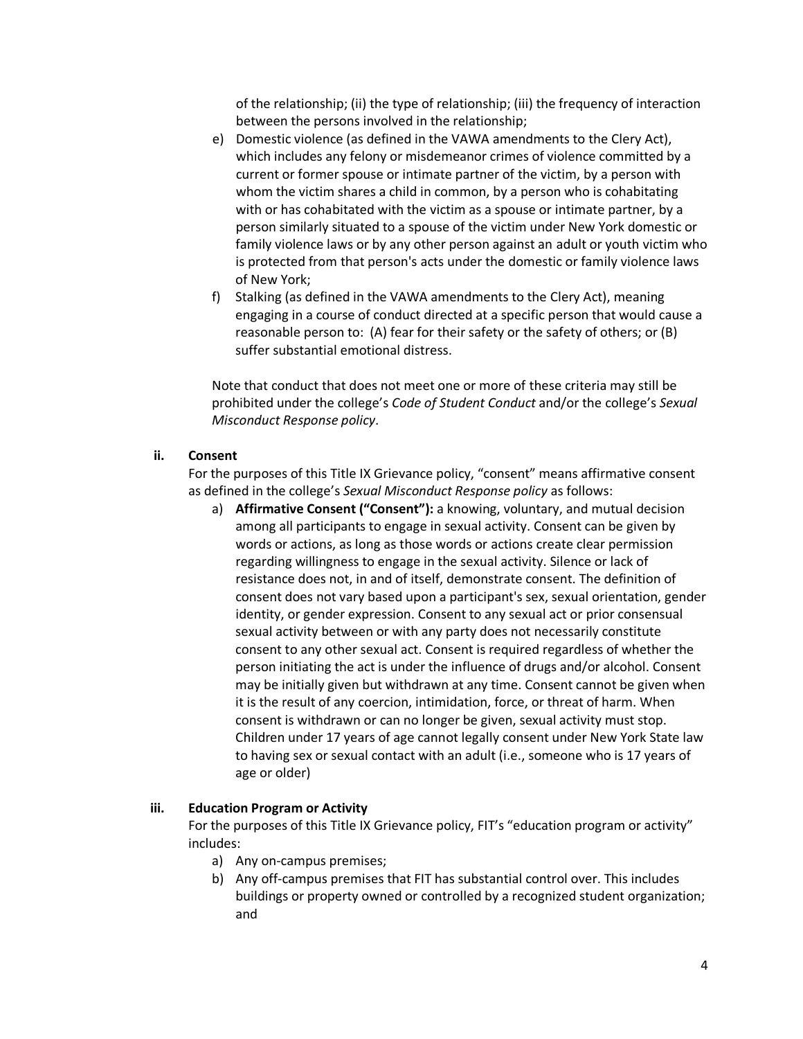of the relationship; (ii) the type of relationship; (iii) the frequency of interaction between the persons involved in the relationship;

- e) Domestic violence (as defined in the VAWA amendments to the Clery Act), which includes any felony or misdemeanor crimes of violence committed by a current or former spouse or intimate partner of the victim, by a person with whom the victim shares a child in common, by a person who is cohabitating with or has cohabitated with the victim as a spouse or intimate partner, by a person similarly situated to a spouse of the victim under New York domestic or family violence laws or by any other person against an adult or youth victim who is protected from that person's acts under the domestic or family violence laws of New York;
- f) Stalking (as defined in the VAWA amendments to the Clery Act), meaning engaging in a course of conduct directed at a specific person that would cause a reasonable person to: (A) fear for their safety or the safety of others; or (B) suffer substantial emotional distress.

Note that conduct that does not meet one or more of these criteria may still be prohibited under the college's *Code of Student Conduct* and/or the college's *Sexual Misconduct Response policy*.

# **ii. Consent**

For the purposes of this Title IX Grievance policy, "consent" means affirmative consent as defined in the college's *Sexual Misconduct Response policy* as follows:

a) **Affirmative Consent ("Consent"):** a knowing, voluntary, and mutual decision among all participants to engage in sexual activity. Consent can be given by words or actions, as long as those words or actions create clear permission regarding willingness to engage in the sexual activity. Silence or lack of resistance does not, in and of itself, demonstrate consent. The definition of consent does not vary based upon a participant's sex, sexual orientation, gender identity, or gender expression. Consent to any sexual act or prior consensual sexual activity between or with any party does not necessarily constitute consent to any other sexual act. Consent is required regardless of whether the person initiating the act is under the influence of drugs and/or alcohol. Consent may be initially given but withdrawn at any time. Consent cannot be given when it is the result of any coercion, intimidation, force, or threat of harm. When consent is withdrawn or can no longer be given, sexual activity must stop. Children under 17 years of age cannot legally consent under New York State law to having sex or sexual contact with an adult (i.e., someone who is 17 years of age or older)

# **iii. Education Program or Activity**

For the purposes of this Title IX Grievance policy, FIT's "education program or activity" includes:

- a) Any on-campus premises;
- b) Any off-campus premises that FIT has substantial control over. This includes buildings or property owned or controlled by a recognized student organization; and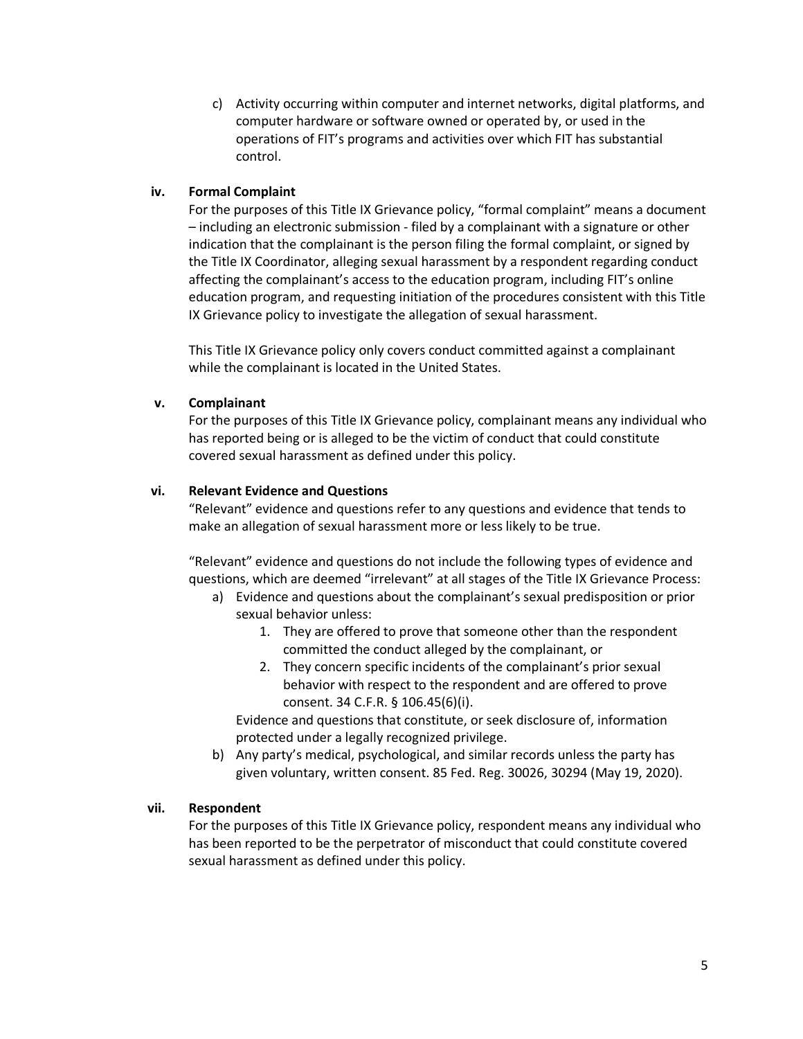c) Activity occurring within computer and internet networks, digital platforms, and computer hardware or software owned or operated by, or used in the operations of FIT's programs and activities over which FIT has substantial control.

# **iv. Formal Complaint**

For the purposes of this Title IX Grievance policy, "formal complaint" means a document – including an electronic submission - filed by a complainant with a signature or other indication that the complainant is the person filing the formal complaint, or signed by the Title IX Coordinator, alleging sexual harassment by a respondent regarding conduct affecting the complainant's access to the education program, including FIT's online education program, and requesting initiation of the procedures consistent with this Title IX Grievance policy to investigate the allegation of sexual harassment.

This Title IX Grievance policy only covers conduct committed against a complainant while the complainant is located in the United States.

# **v. Complainant**

For the purposes of this Title IX Grievance policy, complainant means any individual who has reported being or is alleged to be the victim of conduct that could constitute covered sexual harassment as defined under this policy.

# **vi. Relevant Evidence and Questions**

"Relevant" evidence and questions refer to any questions and evidence that tends to make an allegation of sexual harassment more or less likely to be true.

"Relevant" evidence and questions do not include the following types of evidence and questions, which are deemed "irrelevant" at all stages of the Title IX Grievance Process:

- a) Evidence and questions about the complainant's sexual predisposition or prior sexual behavior unless:
	- 1. They are offered to prove that someone other than the respondent committed the conduct alleged by the complainant, or
	- 2. They concern specific incidents of the complainant's prior sexual behavior with respect to the respondent and are offered to prove consent. 34 C.F.R. § 106.45(6)(i).

Evidence and questions that constitute, or seek disclosure of, information protected under a legally recognized privilege.

b) Any party's medical, psychological, and similar records unless the party has given voluntary, written consent. 85 Fed. Reg. 30026, 30294 (May 19, 2020).

# **vii. Respondent**

For the purposes of this Title IX Grievance policy, respondent means any individual who has been reported to be the perpetrator of misconduct that could constitute covered sexual harassment as defined under this policy.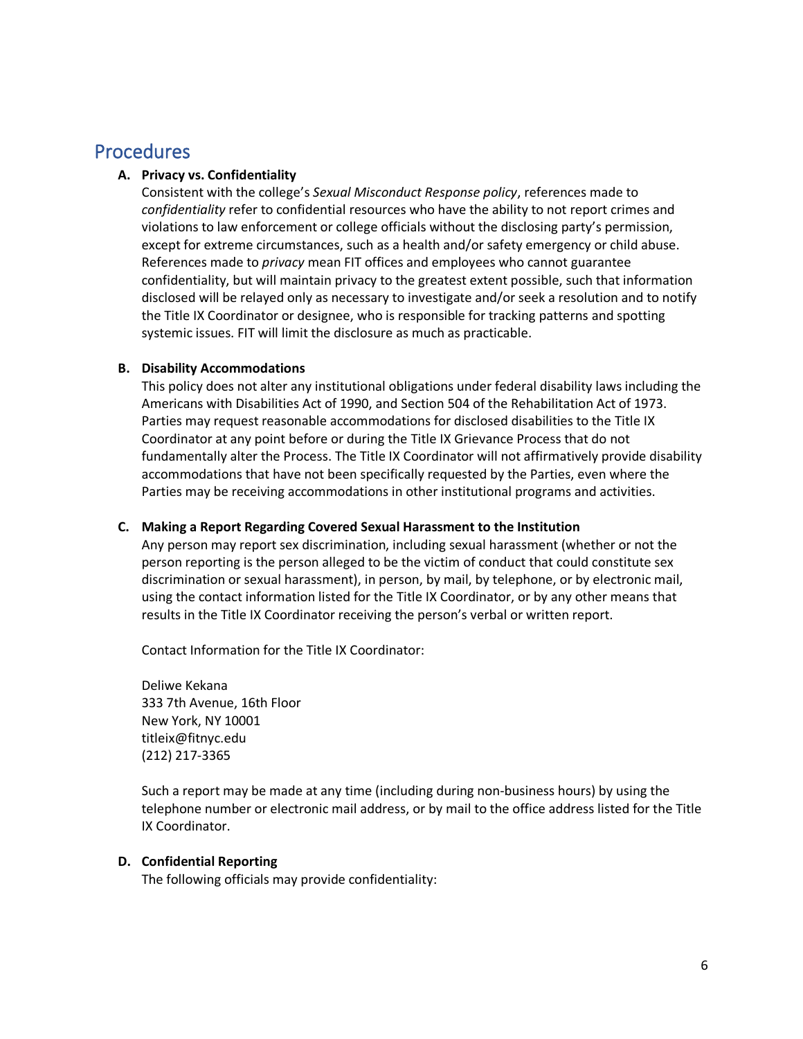# **Procedures**

# **A. Privacy vs. Confidentiality**

Consistent with the college's *Sexual Misconduct Response policy*, references made to *confidentiality* refer to confidential resources who have the ability to not report crimes and violations to law enforcement or college officials without the disclosing party's permission, except for extreme circumstances, such as a health and/or safety emergency or child abuse. References made to *privacy* mean FIT offices and employees who cannot guarantee confidentiality, but will maintain privacy to the greatest extent possible, such that information disclosed will be relayed only as necessary to investigate and/or seek a resolution and to notify the Title IX Coordinator or designee, who is responsible for tracking patterns and spotting systemic issues. FIT will limit the disclosure as much as practicable.

# **B. Disability Accommodations**

This policy does not alter any institutional obligations under federal disability laws including the Americans with Disabilities Act of 1990, and Section 504 of the Rehabilitation Act of 1973. Parties may request reasonable accommodations for disclosed disabilities to the Title IX Coordinator at any point before or during the Title IX Grievance Process that do not fundamentally alter the Process. The Title IX Coordinator will not affirmatively provide disability accommodations that have not been specifically requested by the Parties, even where the Parties may be receiving accommodations in other institutional programs and activities.

# **C. Making a Report Regarding Covered Sexual Harassment to the Institution**

Any person may report sex discrimination, including sexual harassment (whether or not the person reporting is the person alleged to be the victim of conduct that could constitute sex discrimination or sexual harassment), in person, by mail, by telephone, or by electronic mail, using the contact information listed for the Title IX Coordinator, or by any other means that results in the Title IX Coordinator receiving the person's verbal or written report.

Contact Information for the Title IX Coordinator:

Deliwe Kekana 333 7th Avenue, 16th Floor New York, NY 10001 titleix@fitnyc.edu (212) 217-3365

Such a report may be made at any time (including during non-business hours) by using the telephone number or electronic mail address, or by mail to the office address listed for the Title IX Coordinator.

# **D. Confidential Reporting**

The following officials may provide confidentiality: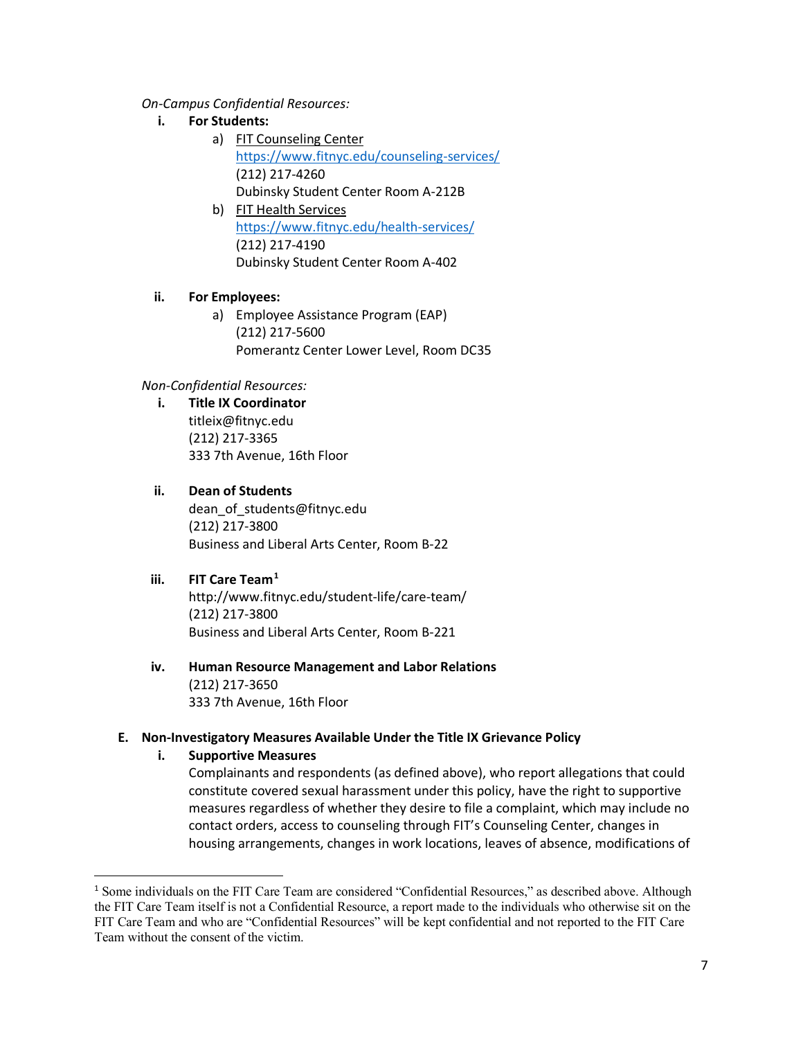*On-Campus Confidential Resources:*

- **i. For Students:**
	- a) FIT Counseling Center [https://www.](https://www/)fitnyc.edu/counseling-services/ (212) 217-4260 Dubinsky Student Center Room A-212B
	- b) FIT Health Services [https://www.](https://www/)fitnyc.edu/health-services/ (212) 217-4190 Dubinsky Student Center Room A-402

# **ii. For Employees:**

a) Employee Assistance Program (EAP) (212) 217-5600 Pomerantz Center Lower Level, Room DC35

# *Non-Confidential Resources:*

**i. Title IX Coordinator**  titleix@fitnyc.edu (212) 217-3365 333 7th Avenue, 16th Floor

# **ii. Dean of Students**

dean\_of\_students@fitnyc.edu (212) 217-3800 Business and Liberal Arts Center, Room B-22

# **iii. FIT Care Team[1](#page-6-0)**

http://www.fitnyc.edu/student-life/care-team/ (212) 217-3800 Business and Liberal Arts Center, Room B-221

**iv. Human Resource Management and Labor Relations** (212) 217-3650 333 7th Avenue, 16th Floor

# **E. Non-Investigatory Measures Available Under the Title IX Grievance Policy**

**i. Supportive Measures** 

Complainants and respondents (as defined above), who report allegations that could constitute covered sexual harassment under this policy, have the right to supportive measures regardless of whether they desire to file a complaint, which may include no contact orders, access to counseling through FIT's Counseling Center, changes in housing arrangements, changes in work locations, leaves of absence, modifications of

<span id="page-6-0"></span><sup>&</sup>lt;sup>1</sup> Some individuals on the FIT Care Team are considered "Confidential Resources," as described above. Although the FIT Care Team itself is not a Confidential Resource, a report made to the individuals who otherwise sit on the FIT Care Team and who are "Confidential Resources" will be kept confidential and not reported to the FIT Care Team without the consent of the victim.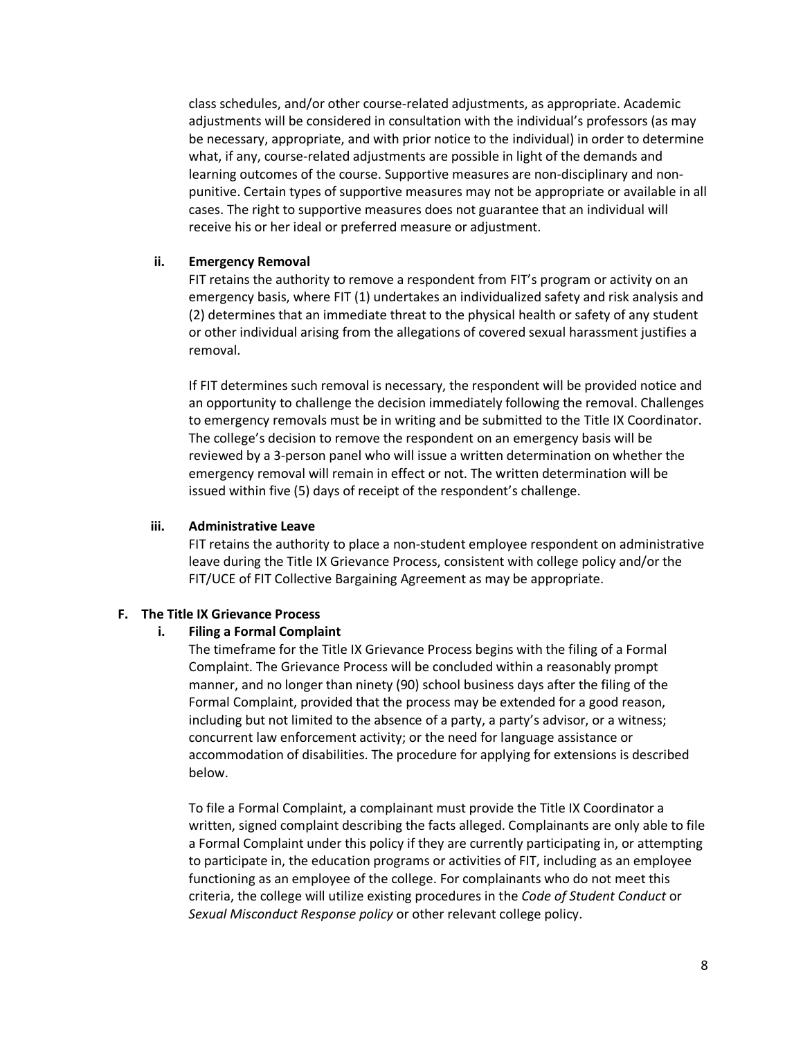class schedules, and/or other course-related adjustments, as appropriate. Academic adjustments will be considered in consultation with the individual's professors (as may be necessary, appropriate, and with prior notice to the individual) in order to determine what, if any, course-related adjustments are possible in light of the demands and learning outcomes of the course. Supportive measures are non-disciplinary and nonpunitive. Certain types of supportive measures may not be appropriate or available in all cases. The right to supportive measures does not guarantee that an individual will receive his or her ideal or preferred measure or adjustment.

#### **ii. Emergency Removal**

FIT retains the authority to remove a respondent from FIT's program or activity on an emergency basis, where FIT (1) undertakes an individualized safety and risk analysis and (2) determines that an immediate threat to the physical health or safety of any student or other individual arising from the allegations of covered sexual harassment justifies a removal.

If FIT determines such removal is necessary, the respondent will be provided notice and an opportunity to challenge the decision immediately following the removal. Challenges to emergency removals must be in writing and be submitted to the Title IX Coordinator. The college's decision to remove the respondent on an emergency basis will be reviewed by a 3-person panel who will issue a written determination on whether the emergency removal will remain in effect or not. The written determination will be issued within five (5) days of receipt of the respondent's challenge.

### **iii. Administrative Leave**

FIT retains the authority to place a non-student employee respondent on administrative leave during the Title IX Grievance Process, consistent with college policy and/or the FIT/UCE of FIT Collective Bargaining Agreement as may be appropriate.

# **F. The Title IX Grievance Process**

# **i. Filing a Formal Complaint**

The timeframe for the Title IX Grievance Process begins with the filing of a Formal Complaint. The Grievance Process will be concluded within a reasonably prompt manner, and no longer than ninety (90) school business days after the filing of the Formal Complaint, provided that the process may be extended for a good reason, including but not limited to the absence of a party, a party's advisor, or a witness; concurrent law enforcement activity; or the need for language assistance or accommodation of disabilities. The procedure for applying for extensions is described below.

To file a Formal Complaint, a complainant must provide the Title IX Coordinator a written, signed complaint describing the facts alleged. Complainants are only able to file a Formal Complaint under this policy if they are currently participating in, or attempting to participate in, the education programs or activities of FIT, including as an employee functioning as an employee of the college. For complainants who do not meet this criteria, the college will utilize existing procedures in the *Code of Student Conduct* or *Sexual Misconduct Response policy* or other relevant college policy.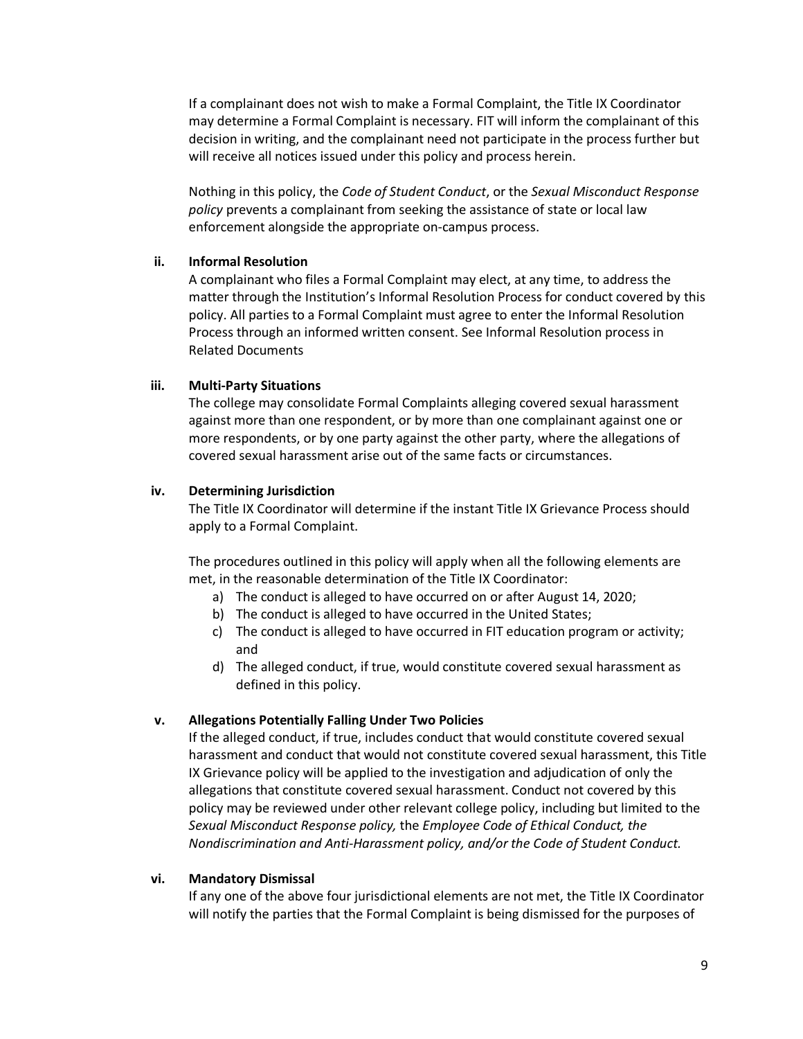If a complainant does not wish to make a Formal Complaint, the Title IX Coordinator may determine a Formal Complaint is necessary. FIT will inform the complainant of this decision in writing, and the complainant need not participate in the process further but will receive all notices issued under this policy and process herein.

Nothing in this policy, the *Code of Student Conduct*, or the *Sexual Misconduct Response policy* prevents a complainant from seeking the assistance of state or local law enforcement alongside the appropriate on-campus process.

#### **ii. Informal Resolution**

A complainant who files a Formal Complaint may elect, at any time, to address the matter through the Institution's Informal Resolution Process for conduct covered by this policy. All parties to a Formal Complaint must agree to enter the Informal Resolution Process through an informed written consent. See Informal Resolution process in Related Documents

#### **iii. Multi-Party Situations**

The college may consolidate Formal Complaints alleging covered sexual harassment against more than one respondent, or by more than one complainant against one or more respondents, or by one party against the other party, where the allegations of covered sexual harassment arise out of the same facts or circumstances.

# **iv. Determining Jurisdiction**

The Title IX Coordinator will determine if the instant Title IX Grievance Process should apply to a Formal Complaint.

The procedures outlined in this policy will apply when all the following elements are met, in the reasonable determination of the Title IX Coordinator:

- a) The conduct is alleged to have occurred on or after August 14, 2020;
- b) The conduct is alleged to have occurred in the United States;
- c) The conduct is alleged to have occurred in FIT education program or activity; and
- d) The alleged conduct, if true, would constitute covered sexual harassment as defined in this policy.

# **v. Allegations Potentially Falling Under Two Policies**

If the alleged conduct, if true, includes conduct that would constitute covered sexual harassment and conduct that would not constitute covered sexual harassment, this Title IX Grievance policy will be applied to the investigation and adjudication of only the allegations that constitute covered sexual harassment. Conduct not covered by this policy may be reviewed under other relevant college policy, including but limited to the *Sexual Misconduct Response policy,* the *Employee Code of Ethical Conduct, the Nondiscrimination and Anti-Harassment policy, and/or the Code of Student Conduct.* 

#### **vi. Mandatory Dismissal**

If any one of the above four jurisdictional elements are not met, the Title IX Coordinator will notify the parties that the Formal Complaint is being dismissed for the purposes of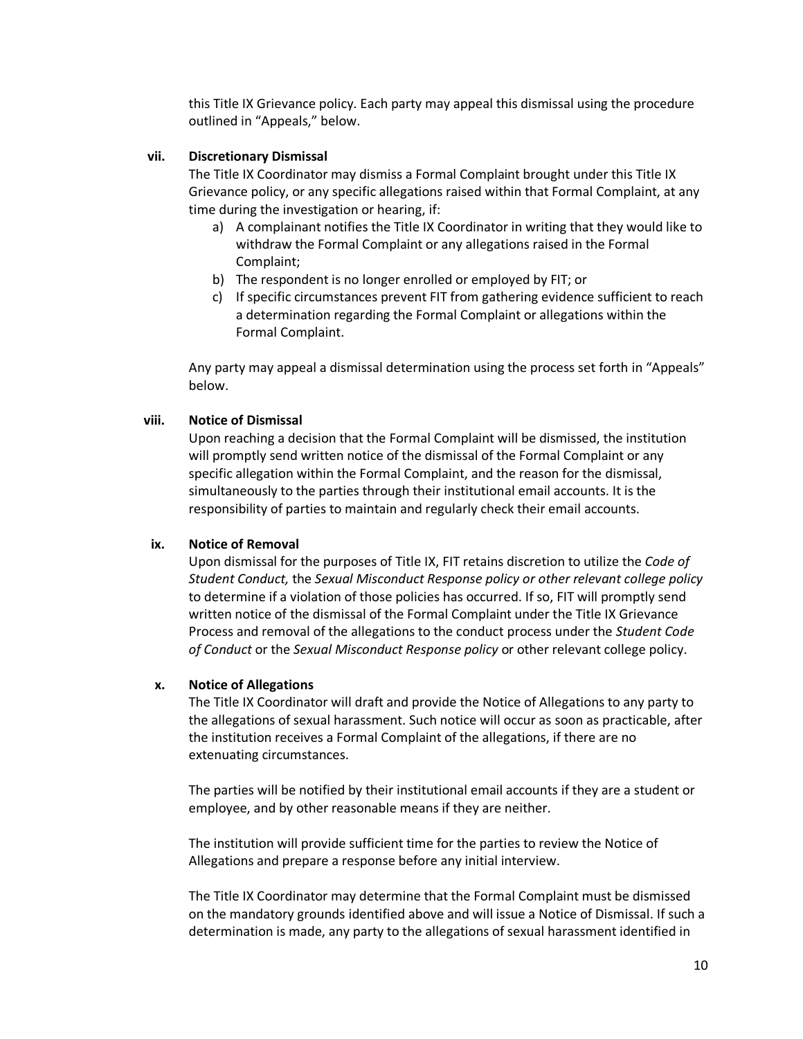this Title IX Grievance policy. Each party may appeal this dismissal using the procedure outlined in "Appeals," below.

#### **vii. Discretionary Dismissal**

The Title IX Coordinator may dismiss a Formal Complaint brought under this Title IX Grievance policy, or any specific allegations raised within that Formal Complaint, at any time during the investigation or hearing, if:

- a) A complainant notifies the Title IX Coordinator in writing that they would like to withdraw the Formal Complaint or any allegations raised in the Formal Complaint;
- b) The respondent is no longer enrolled or employed by FIT; or
- c) If specific circumstances prevent FIT from gathering evidence sufficient to reach a determination regarding the Formal Complaint or allegations within the Formal Complaint.

Any party may appeal a dismissal determination using the process set forth in "Appeals" below.

#### **viii. Notice of Dismissal**

Upon reaching a decision that the Formal Complaint will be dismissed, the institution will promptly send written notice of the dismissal of the Formal Complaint or any specific allegation within the Formal Complaint, and the reason for the dismissal, simultaneously to the parties through their institutional email accounts. It is the responsibility of parties to maintain and regularly check their email accounts.

#### **ix. Notice of Removal**

Upon dismissal for the purposes of Title IX, FIT retains discretion to utilize the *Code of Student Conduct,* the *Sexual Misconduct Response policy or other relevant college policy*  to determine if a violation of those policies has occurred. If so, FIT will promptly send written notice of the dismissal of the Formal Complaint under the Title IX Grievance Process and removal of the allegations to the conduct process under the *Student Code of Conduct* or the *Sexual Misconduct Response policy* or other relevant college policy.

#### **x. Notice of Allegations**

The Title IX Coordinator will draft and provide the Notice of Allegations to any party to the allegations of sexual harassment. Such notice will occur as soon as practicable, after the institution receives a Formal Complaint of the allegations, if there are no extenuating circumstances.

The parties will be notified by their institutional email accounts if they are a student or employee, and by other reasonable means if they are neither.

The institution will provide sufficient time for the parties to review the Notice of Allegations and prepare a response before any initial interview.

The Title IX Coordinator may determine that the Formal Complaint must be dismissed on the mandatory grounds identified above and will issue a Notice of Dismissal. If such a determination is made, any party to the allegations of sexual harassment identified in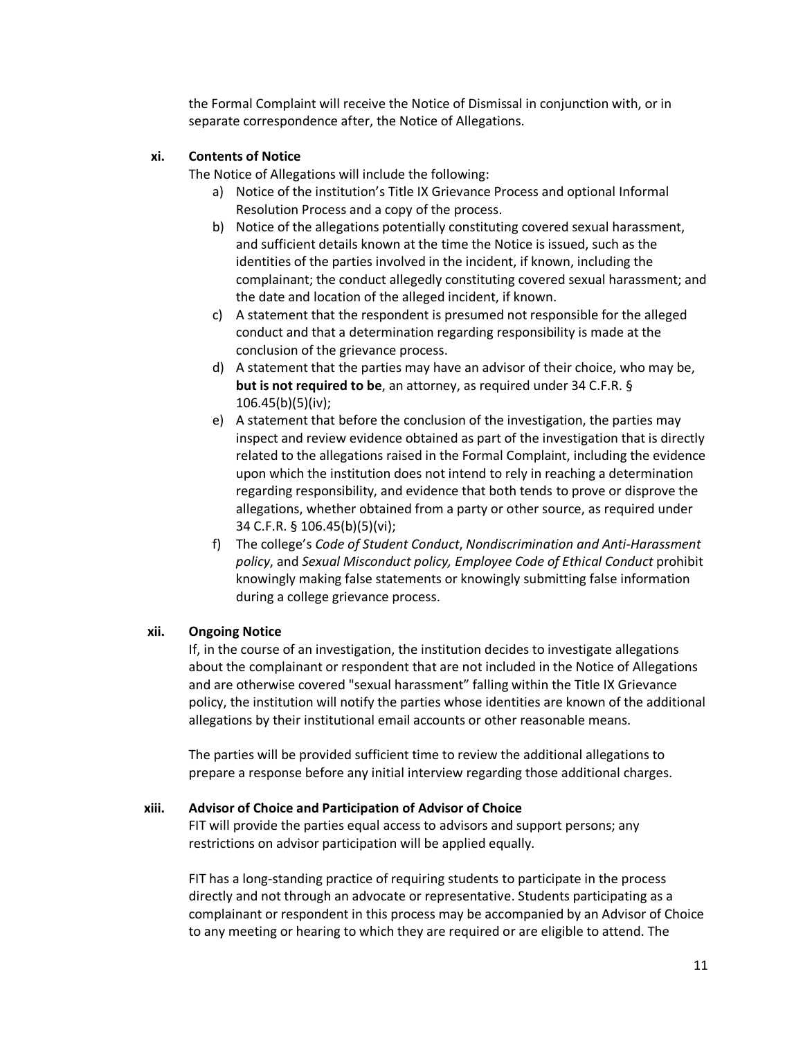the Formal Complaint will receive the Notice of Dismissal in conjunction with, or in separate correspondence after, the Notice of Allegations.

#### **xi. Contents of Notice**

The Notice of Allegations will include the following:

- a) Notice of the institution's Title IX Grievance Process and optional Informal Resolution Process and a copy of the process.
- b) Notice of the allegations potentially constituting covered sexual harassment, and sufficient details known at the time the Notice is issued, such as the identities of the parties involved in the incident, if known, including the complainant; the conduct allegedly constituting covered sexual harassment; and the date and location of the alleged incident, if known.
- c) A statement that the respondent is presumed not responsible for the alleged conduct and that a determination regarding responsibility is made at the conclusion of the grievance process.
- d) A statement that the parties may have an advisor of their choice, who may be, **but is not required to be**, an attorney, as required under 34 C.F.R. § 106.45(b)(5)(iv);
- e) A statement that before the conclusion of the investigation, the parties may inspect and review evidence obtained as part of the investigation that is directly related to the allegations raised in the Formal Complaint, including the evidence upon which the institution does not intend to rely in reaching a determination regarding responsibility, and evidence that both tends to prove or disprove the allegations, whether obtained from a party or other source, as required under 34 C.F.R. § 106.45(b)(5)(vi);
- f) The college's *Code of Student Conduct*, *Nondiscrimination and Anti-Harassment policy*, and *Sexual Misconduct policy, Employee Code of Ethical Conduct* prohibit knowingly making false statements or knowingly submitting false information during a college grievance process.

# **xii. Ongoing Notice**

If, in the course of an investigation, the institution decides to investigate allegations about the complainant or respondent that are not included in the Notice of Allegations and are otherwise covered "sexual harassment" falling within the Title IX Grievance policy, the institution will notify the parties whose identities are known of the additional allegations by their institutional email accounts or other reasonable means.

The parties will be provided sufficient time to review the additional allegations to prepare a response before any initial interview regarding those additional charges.

#### **xiii. Advisor of Choice and Participation of Advisor of Choice**

FIT will provide the parties equal access to advisors and support persons; any restrictions on advisor participation will be applied equally.

FIT has a long-standing practice of requiring students to participate in the process directly and not through an advocate or representative. Students participating as a complainant or respondent in this process may be accompanied by an Advisor of Choice to any meeting or hearing to which they are required or are eligible to attend. The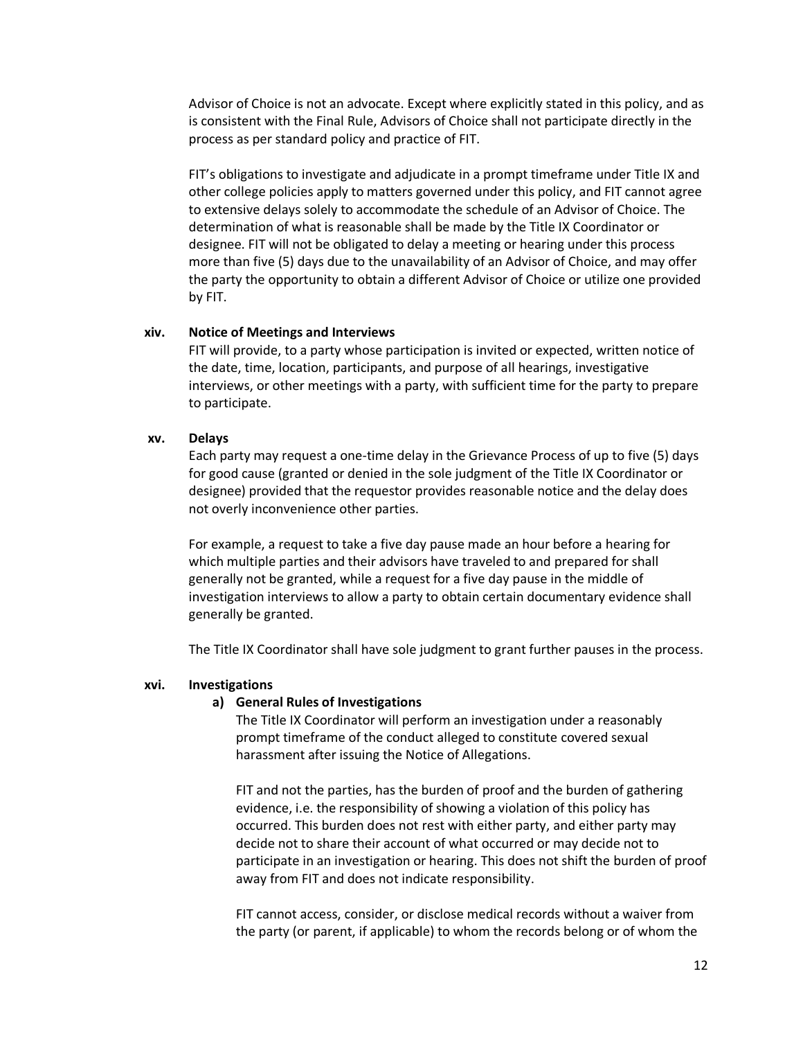Advisor of Choice is not an advocate. Except where explicitly stated in this policy, and as is consistent with the Final Rule, Advisors of Choice shall not participate directly in the process as per standard policy and practice of FIT.

FIT's obligations to investigate and adjudicate in a prompt timeframe under Title IX and other college policies apply to matters governed under this policy, and FIT cannot agree to extensive delays solely to accommodate the schedule of an Advisor of Choice. The determination of what is reasonable shall be made by the Title IX Coordinator or designee. FIT will not be obligated to delay a meeting or hearing under this process more than five (5) days due to the unavailability of an Advisor of Choice, and may offer the party the opportunity to obtain a different Advisor of Choice or utilize one provided by FIT.

#### **xiv. Notice of Meetings and Interviews**

FIT will provide, to a party whose participation is invited or expected, written notice of the date, time, location, participants, and purpose of all hearings, investigative interviews, or other meetings with a party, with sufficient time for the party to prepare to participate.

#### **xv. Delays**

Each party may request a one-time delay in the Grievance Process of up to five (5) days for good cause (granted or denied in the sole judgment of the Title IX Coordinator or designee) provided that the requestor provides reasonable notice and the delay does not overly inconvenience other parties.

For example, a request to take a five day pause made an hour before a hearing for which multiple parties and their advisors have traveled to and prepared for shall generally not be granted, while a request for a five day pause in the middle of investigation interviews to allow a party to obtain certain documentary evidence shall generally be granted.

The Title IX Coordinator shall have sole judgment to grant further pauses in the process.

#### **xvi. Investigations**

#### **a) General Rules of Investigations**

The Title IX Coordinator will perform an investigation under a reasonably prompt timeframe of the conduct alleged to constitute covered sexual harassment after issuing the Notice of Allegations.

FIT and not the parties, has the burden of proof and the burden of gathering evidence, i.e. the responsibility of showing a violation of this policy has occurred. This burden does not rest with either party, and either party may decide not to share their account of what occurred or may decide not to participate in an investigation or hearing. This does not shift the burden of proof away from FIT and does not indicate responsibility.

FIT cannot access, consider, or disclose medical records without a waiver from the party (or parent, if applicable) to whom the records belong or of whom the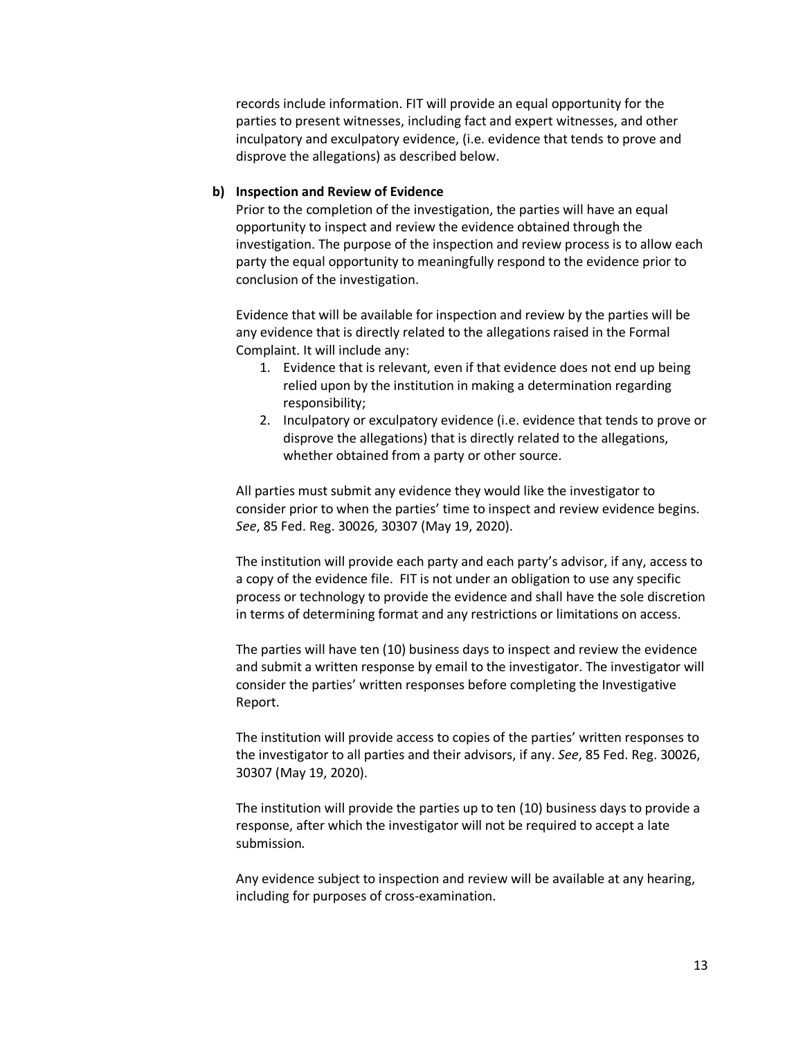records include information. FIT will provide an equal opportunity for the parties to present witnesses, including fact and expert witnesses, and other inculpatory and exculpatory evidence, (i.e. evidence that tends to prove and disprove the allegations) as described below.

#### **b) Inspection and Review of Evidence**

Prior to the completion of the investigation, the parties will have an equal opportunity to inspect and review the evidence obtained through the investigation. The purpose of the inspection and review process is to allow each party the equal opportunity to meaningfully respond to the evidence prior to conclusion of the investigation.

Evidence that will be available for inspection and review by the parties will be any evidence that is directly related to the allegations raised in the Formal Complaint. It will include any:

- 1. Evidence that is relevant, even if that evidence does not end up being relied upon by the institution in making a determination regarding responsibility;
- 2. Inculpatory or exculpatory evidence (i.e. evidence that tends to prove or disprove the allegations) that is directly related to the allegations, whether obtained from a party or other source.

All parties must submit any evidence they would like the investigator to consider prior to when the parties' time to inspect and review evidence begins. *See*, 85 Fed. Reg. 30026, 30307 (May 19, 2020).

The institution will provide each party and each party's advisor, if any, access to a copy of the evidence file. FIT is not under an obligation to use any specific process or technology to provide the evidence and shall have the sole discretion in terms of determining format and any restrictions or limitations on access.

The parties will have ten (10) business days to inspect and review the evidence and submit a written response by email to the investigator. The investigator will consider the parties' written responses before completing the Investigative Report.

The institution will provide access to copies of the parties' written responses to the investigator to all parties and their advisors, if any. *See*, 85 Fed. Reg. 30026, 30307 (May 19, 2020).

The institution will provide the parties up to ten (10) business days to provide a response, after which the investigator will not be required to accept a late submission.

Any evidence subject to inspection and review will be available at any hearing, including for purposes of cross-examination.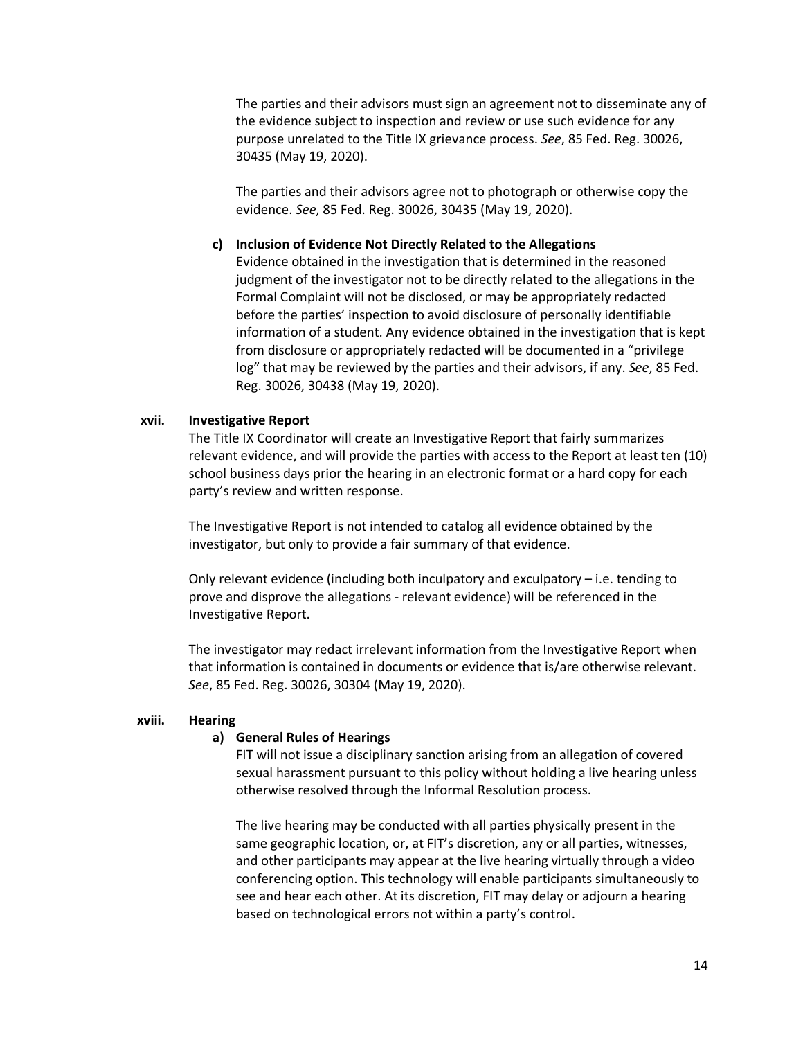The parties and their advisors must sign an agreement not to disseminate any of the evidence subject to inspection and review or use such evidence for any purpose unrelated to the Title IX grievance process. *See*, 85 Fed. Reg. 30026, 30435 (May 19, 2020).

The parties and their advisors agree not to photograph or otherwise copy the evidence. *See*, 85 Fed. Reg. 30026, 30435 (May 19, 2020).

#### **c) Inclusion of Evidence Not Directly Related to the Allegations**

Evidence obtained in the investigation that is determined in the reasoned judgment of the investigator not to be directly related to the allegations in the Formal Complaint will not be disclosed, or may be appropriately redacted before the parties' inspection to avoid disclosure of personally identifiable information of a student. Any evidence obtained in the investigation that is kept from disclosure or appropriately redacted will be documented in a "privilege log" that may be reviewed by the parties and their advisors, if any. *See*, 85 Fed. Reg. 30026, 30438 (May 19, 2020).

#### **xvii. Investigative Report**

The Title IX Coordinator will create an Investigative Report that fairly summarizes relevant evidence, and will provide the parties with access to the Report at least ten (10) school business days prior the hearing in an electronic format or a hard copy for each party's review and written response.

The Investigative Report is not intended to catalog all evidence obtained by the investigator, but only to provide a fair summary of that evidence.

Only relevant evidence (including both inculpatory and exculpatory – i.e. tending to prove and disprove the allegations - relevant evidence) will be referenced in the Investigative Report.

The investigator may redact irrelevant information from the Investigative Report when that information is contained in documents or evidence that is/are otherwise relevant. *See*, 85 Fed. Reg. 30026, 30304 (May 19, 2020).

#### **xviii. Hearing**

#### **a) General Rules of Hearings**

FIT will not issue a disciplinary sanction arising from an allegation of covered sexual harassment pursuant to this policy without holding a live hearing unless otherwise resolved through the Informal Resolution process.

The live hearing may be conducted with all parties physically present in the same geographic location, or, at FIT's discretion, any or all parties, witnesses, and other participants may appear at the live hearing virtually through a video conferencing option. This technology will enable participants simultaneously to see and hear each other. At its discretion, FIT may delay or adjourn a hearing based on technological errors not within a party's control.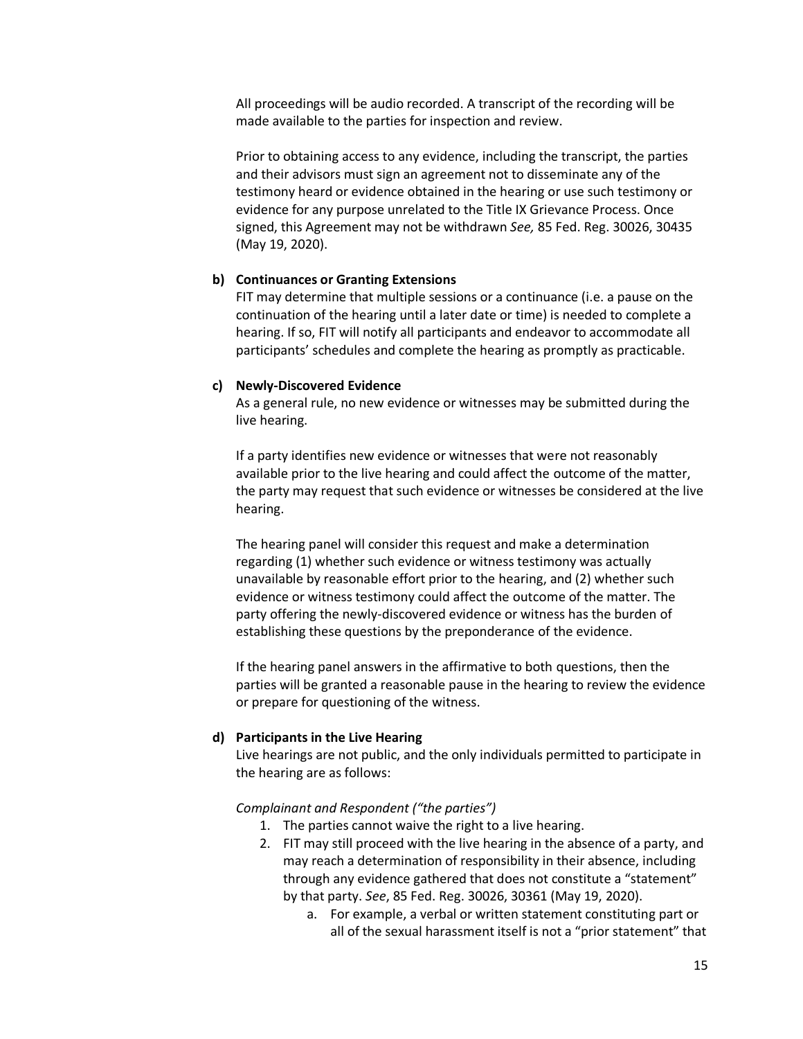All proceedings will be audio recorded. A transcript of the recording will be made available to the parties for inspection and review.

Prior to obtaining access to any evidence, including the transcript, the parties and their advisors must sign an agreement not to disseminate any of the testimony heard or evidence obtained in the hearing or use such testimony or evidence for any purpose unrelated to the Title IX Grievance Process. Once signed, this Agreement may not be withdrawn *See,* 85 Fed. Reg. 30026, 30435 (May 19, 2020).

#### **b) Continuances or Granting Extensions**

FIT may determine that multiple sessions or a continuance (i.e. a pause on the continuation of the hearing until a later date or time) is needed to complete a hearing. If so, FIT will notify all participants and endeavor to accommodate all participants' schedules and complete the hearing as promptly as practicable.

#### **c) Newly-Discovered Evidence**

As a general rule, no new evidence or witnesses may be submitted during the live hearing.

If a party identifies new evidence or witnesses that were not reasonably available prior to the live hearing and could affect the outcome of the matter, the party may request that such evidence or witnesses be considered at the live hearing.

The hearing panel will consider this request and make a determination regarding (1) whether such evidence or witness testimony was actually unavailable by reasonable effort prior to the hearing, and (2) whether such evidence or witness testimony could affect the outcome of the matter. The party offering the newly-discovered evidence or witness has the burden of establishing these questions by the preponderance of the evidence.

If the hearing panel answers in the affirmative to both questions, then the parties will be granted a reasonable pause in the hearing to review the evidence or prepare for questioning of the witness.

#### **d) Participants in the Live Hearing**

Live hearings are not public, and the only individuals permitted to participate in the hearing are as follows:

#### *Complainant and Respondent ("the parties")*

- 1. The parties cannot waive the right to a live hearing.
- 2. FIT may still proceed with the live hearing in the absence of a party, and may reach a determination of responsibility in their absence, including through any evidence gathered that does not constitute a "statement" by that party. *See*, 85 Fed. Reg. 30026, 30361 (May 19, 2020).
	- a. For example, a verbal or written statement constituting part or all of the sexual harassment itself is not a "prior statement" that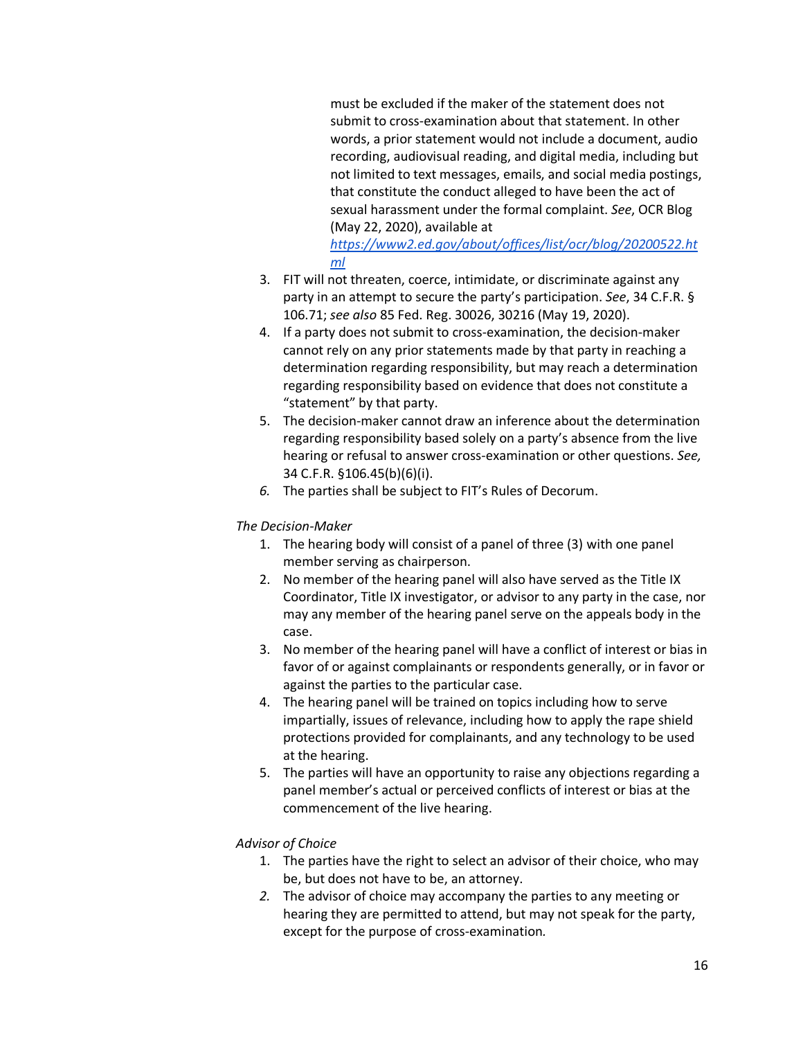must be excluded if the maker of the statement does not submit to cross-examination about that statement. In other words, a prior statement would not include a document, audio recording, audiovisual reading, and digital media, including but not limited to text messages, emails, and social media postings, that constitute the conduct alleged to have been the act of sexual harassment under the formal complaint. *See*, OCR Blog (May 22, 2020), available at

*https://www2.ed.gov/about/offices/list/ocr/blog/20200522.ht ml*

- 3. FIT will not threaten, coerce, intimidate, or discriminate against any party in an attempt to secure the party's participation. *See*, 34 C.F.R. § 106.71; *see also* 85 Fed. Reg. 30026, 30216 (May 19, 2020).
- 4. If a party does not submit to cross-examination, the decision-maker cannot rely on any prior statements made by that party in reaching a determination regarding responsibility, but may reach a determination regarding responsibility based on evidence that does not constitute a "statement" by that party.
- 5. The decision-maker cannot draw an inference about the determination regarding responsibility based solely on a party's absence from the live hearing or refusal to answer cross-examination or other questions. *See,* 34 C.F.R. §106.45(b)(6)(i).
- *6.* The parties shall be subject to FIT's Rules of Decorum.

# *The Decision-Maker*

- 1. The hearing body will consist of a panel of three (3) with one panel member serving as chairperson.
- 2. No member of the hearing panel will also have served as the Title IX Coordinator, Title IX investigator, or advisor to any party in the case, nor may any member of the hearing panel serve on the appeals body in the case.
- 3. No member of the hearing panel will have a conflict of interest or bias in favor of or against complainants or respondents generally, or in favor or against the parties to the particular case.
- 4. The hearing panel will be trained on topics including how to serve impartially, issues of relevance, including how to apply the rape shield protections provided for complainants, and any technology to be used at the hearing.
- 5. The parties will have an opportunity to raise any objections regarding a panel member's actual or perceived conflicts of interest or bias at the commencement of the live hearing.

# *Advisor of Choice*

- 1. The parties have the right to select an advisor of their choice, who may be, but does not have to be, an attorney.
- *2.* The advisor of choice may accompany the parties to any meeting or hearing they are permitted to attend, but may not speak for the party, except for the purpose of cross-examination*.*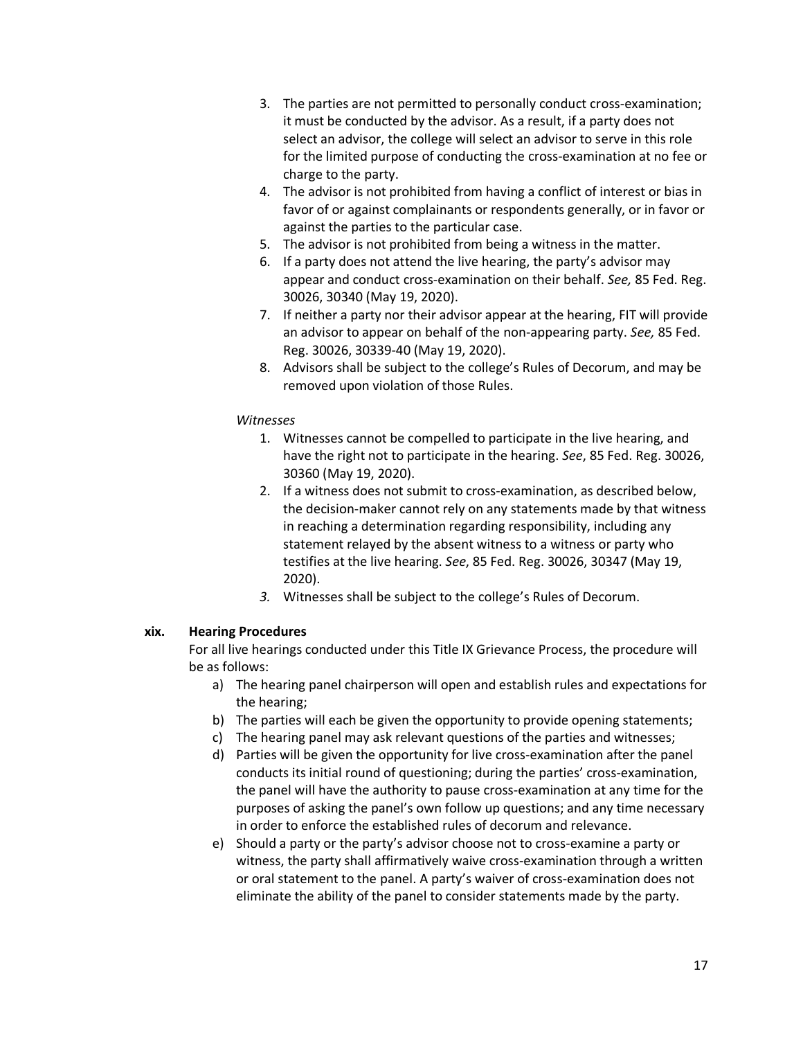- 3. The parties are not permitted to personally conduct cross-examination; it must be conducted by the advisor. As a result, if a party does not select an advisor, the college will select an advisor to serve in this role for the limited purpose of conducting the cross-examination at no fee or charge to the party.
- 4. The advisor is not prohibited from having a conflict of interest or bias in favor of or against complainants or respondents generally, or in favor or against the parties to the particular case.
- 5. The advisor is not prohibited from being a witness in the matter.
- 6. If a party does not attend the live hearing, the party's advisor may appear and conduct cross-examination on their behalf. *See,* 85 Fed. Reg. 30026, 30340 (May 19, 2020).
- 7. If neither a party nor their advisor appear at the hearing, FIT will provide an advisor to appear on behalf of the non-appearing party. *See,* 85 Fed. Reg. 30026, 30339-40 (May 19, 2020).
- 8. Advisors shall be subject to the college's Rules of Decorum, and may be removed upon violation of those Rules.

# *Witnesses*

- 1. Witnesses cannot be compelled to participate in the live hearing, and have the right not to participate in the hearing. *See*, 85 Fed. Reg. 30026, 30360 (May 19, 2020).
- 2. If a witness does not submit to cross-examination, as described below, the decision-maker cannot rely on any statements made by that witness in reaching a determination regarding responsibility, including any statement relayed by the absent witness to a witness or party who testifies at the live hearing. *See*, 85 Fed. Reg. 30026, 30347 (May 19, 2020).
- *3.* Witnesses shall be subject to the college's Rules of Decorum.

# **xix. Hearing Procedures**

For all live hearings conducted under this Title IX Grievance Process, the procedure will be as follows:

- a) The hearing panel chairperson will open and establish rules and expectations for the hearing;
- b) The parties will each be given the opportunity to provide opening statements;
- c) The hearing panel may ask relevant questions of the parties and witnesses;
- d) Parties will be given the opportunity for live cross-examination after the panel conducts its initial round of questioning; during the parties' cross-examination, the panel will have the authority to pause cross-examination at any time for the purposes of asking the panel's own follow up questions; and any time necessary in order to enforce the established rules of decorum and relevance.
- e) Should a party or the party's advisor choose not to cross-examine a party or witness, the party shall affirmatively waive cross-examination through a written or oral statement to the panel. A party's waiver of cross-examination does not eliminate the ability of the panel to consider statements made by the party.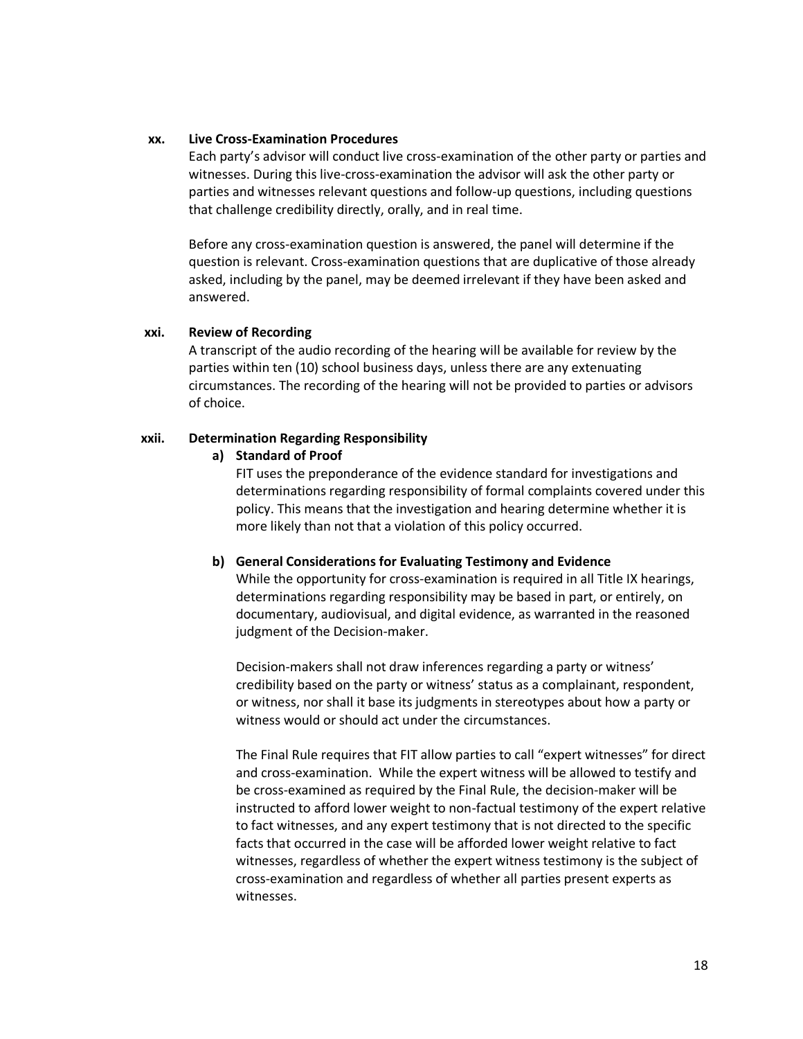#### **xx. Live Cross-Examination Procedures**

Each party's advisor will conduct live cross-examination of the other party or parties and witnesses. During this live-cross-examination the advisor will ask the other party or parties and witnesses relevant questions and follow-up questions, including questions that challenge credibility directly, orally, and in real time.

Before any cross-examination question is answered, the panel will determine if the question is relevant. Cross-examination questions that are duplicative of those already asked, including by the panel, may be deemed irrelevant if they have been asked and answered.

#### **xxi. Review of Recording**

A transcript of the audio recording of the hearing will be available for review by the parties within ten (10) school business days, unless there are any extenuating circumstances. The recording of the hearing will not be provided to parties or advisors of choice.

#### **xxii. Determination Regarding Responsibility**

#### **a) Standard of Proof**

FIT uses the preponderance of the evidence standard for investigations and determinations regarding responsibility of formal complaints covered under this policy. This means that the investigation and hearing determine whether it is more likely than not that a violation of this policy occurred.

#### **b) General Considerations for Evaluating Testimony and Evidence**

While the opportunity for cross-examination is required in all Title IX hearings, determinations regarding responsibility may be based in part, or entirely, on documentary, audiovisual, and digital evidence, as warranted in the reasoned judgment of the Decision-maker.

Decision-makers shall not draw inferences regarding a party or witness' credibility based on the party or witness' status as a complainant, respondent, or witness, nor shall it base its judgments in stereotypes about how a party or witness would or should act under the circumstances.

The Final Rule requires that FIT allow parties to call "expert witnesses" for direct and cross-examination. While the expert witness will be allowed to testify and be cross-examined as required by the Final Rule, the decision-maker will be instructed to afford lower weight to non-factual testimony of the expert relative to fact witnesses, and any expert testimony that is not directed to the specific facts that occurred in the case will be afforded lower weight relative to fact witnesses, regardless of whether the expert witness testimony is the subject of cross-examination and regardless of whether all parties present experts as witnesses.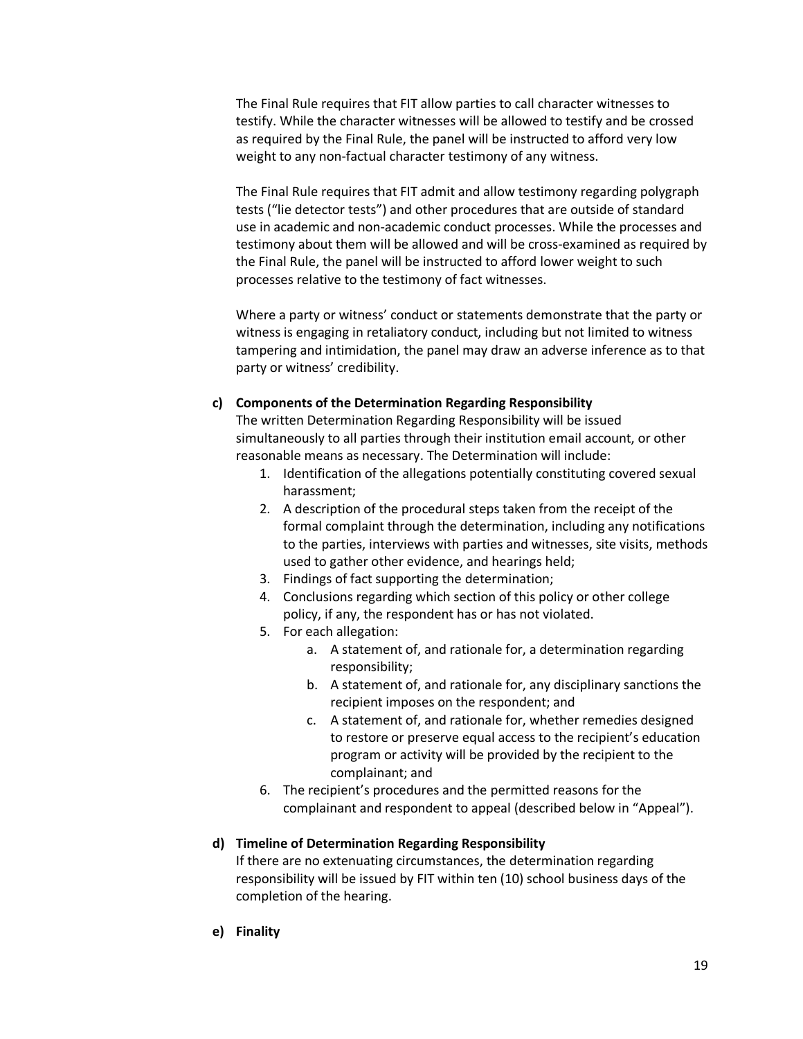The Final Rule requires that FIT allow parties to call character witnesses to testify. While the character witnesses will be allowed to testify and be crossed as required by the Final Rule, the panel will be instructed to afford very low weight to any non-factual character testimony of any witness.

The Final Rule requires that FIT admit and allow testimony regarding polygraph tests ("lie detector tests") and other procedures that are outside of standard use in academic and non-academic conduct processes. While the processes and testimony about them will be allowed and will be cross-examined as required by the Final Rule, the panel will be instructed to afford lower weight to such processes relative to the testimony of fact witnesses.

Where a party or witness' conduct or statements demonstrate that the party or witness is engaging in retaliatory conduct, including but not limited to witness tampering and intimidation, the panel may draw an adverse inference as to that party or witness' credibility.

#### **c) Components of the Determination Regarding Responsibility**

The written Determination Regarding Responsibility will be issued simultaneously to all parties through their institution email account, or other reasonable means as necessary. The Determination will include:

- 1. Identification of the allegations potentially constituting covered sexual harassment;
- 2. A description of the procedural steps taken from the receipt of the formal complaint through the determination, including any notifications to the parties, interviews with parties and witnesses, site visits, methods used to gather other evidence, and hearings held;
- 3. Findings of fact supporting the determination;
- 4. Conclusions regarding which section of this policy or other college policy, if any, the respondent has or has not violated.
- 5. For each allegation:
	- a. A statement of, and rationale for, a determination regarding responsibility;
	- b. A statement of, and rationale for, any disciplinary sanctions the recipient imposes on the respondent; and
	- c. A statement of, and rationale for, whether remedies designed to restore or preserve equal access to the recipient's education program or activity will be provided by the recipient to the complainant; and
- 6. The recipient's procedures and the permitted reasons for the complainant and respondent to appeal (described below in "Appeal").

# **d) Timeline of Determination Regarding Responsibility**

If there are no extenuating circumstances, the determination regarding responsibility will be issued by FIT within ten (10) school business days of the completion of the hearing.

**e) Finality**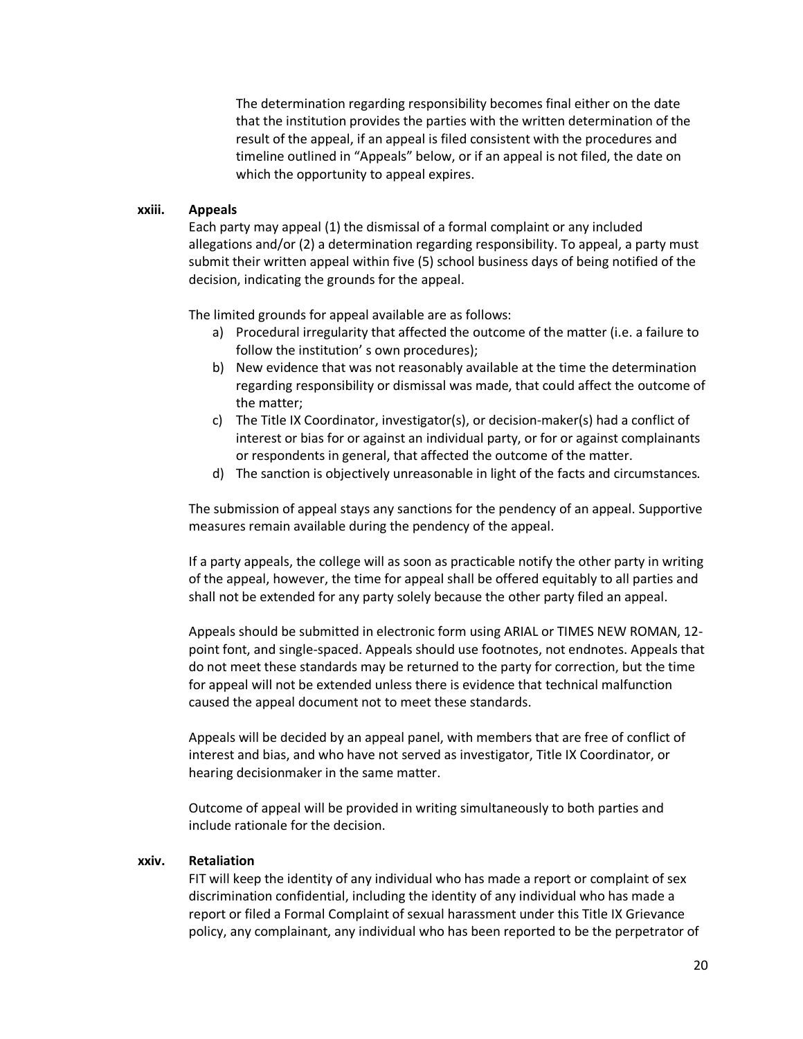The determination regarding responsibility becomes final either on the date that the institution provides the parties with the written determination of the result of the appeal, if an appeal is filed consistent with the procedures and timeline outlined in "Appeals" below, or if an appeal is not filed, the date on which the opportunity to appeal expires.

#### **xxiii. Appeals**

Each party may appeal (1) the dismissal of a formal complaint or any included allegations and/or (2) a determination regarding responsibility. To appeal, a party must submit their written appeal within five (5) school business days of being notified of the decision, indicating the grounds for the appeal.

The limited grounds for appeal available are as follows:

- a) Procedural irregularity that affected the outcome of the matter (i.e. a failure to follow the institution' s own procedures);
- b) New evidence that was not reasonably available at the time the determination regarding responsibility or dismissal was made, that could affect the outcome of the matter;
- c) The Title IX Coordinator, investigator(s), or decision-maker(s) had a conflict of interest or bias for or against an individual party, or for or against complainants or respondents in general, that affected the outcome of the matter.
- d) The sanction is objectively unreasonable in light of the facts and circumstances*.*

The submission of appeal stays any sanctions for the pendency of an appeal. Supportive measures remain available during the pendency of the appeal.

If a party appeals, the college will as soon as practicable notify the other party in writing of the appeal, however, the time for appeal shall be offered equitably to all parties and shall not be extended for any party solely because the other party filed an appeal.

Appeals should be submitted in electronic form using ARIAL or TIMES NEW ROMAN, 12 point font, and single-spaced. Appeals should use footnotes, not endnotes. Appeals that do not meet these standards may be returned to the party for correction, but the time for appeal will not be extended unless there is evidence that technical malfunction caused the appeal document not to meet these standards.

Appeals will be decided by an appeal panel, with members that are free of conflict of interest and bias, and who have not served as investigator, Title IX Coordinator, or hearing decisionmaker in the same matter.

Outcome of appeal will be provided in writing simultaneously to both parties and include rationale for the decision.

#### **xxiv. Retaliation**

FIT will keep the identity of any individual who has made a report or complaint of sex discrimination confidential, including the identity of any individual who has made a report or filed a Formal Complaint of sexual harassment under this Title IX Grievance policy, any complainant, any individual who has been reported to be the perpetrator of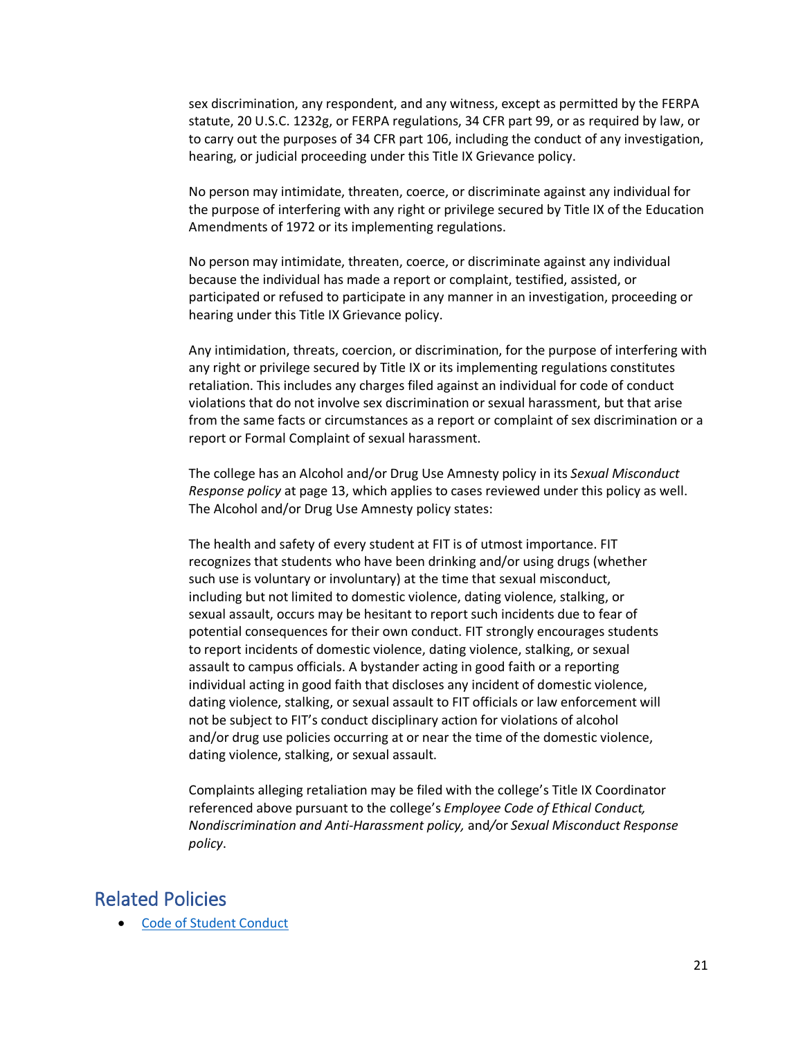sex discrimination, any respondent, and any witness, except as permitted by the FERPA statute, 20 U.S.C. 1232g, or FERPA regulations, 34 CFR part 99, or as required by law, or to carry out the purposes of 34 CFR part 106, including the conduct of any investigation, hearing, or judicial proceeding under this Title IX Grievance policy.

No person may intimidate, threaten, coerce, or discriminate against any individual for the purpose of interfering with any right or privilege secured by Title IX of the Education Amendments of 1972 or its implementing regulations.

No person may intimidate, threaten, coerce, or discriminate against any individual because the individual has made a report or complaint, testified, assisted, or participated or refused to participate in any manner in an investigation, proceeding or hearing under this Title IX Grievance policy.

Any intimidation, threats, coercion, or discrimination, for the purpose of interfering with any right or privilege secured by Title IX or its implementing regulations constitutes retaliation. This includes any charges filed against an individual for code of conduct violations that do not involve sex discrimination or sexual harassment, but that arise from the same facts or circumstances as a report or complaint of sex discrimination or a report or Formal Complaint of sexual harassment.

The college has an Alcohol and/or Drug Use Amnesty policy in its *Sexual Misconduct Response policy* at page 13, which applies to cases reviewed under this policy as well. The Alcohol and/or Drug Use Amnesty policy states:

The health and safety of every student at FIT is of utmost importance. FIT recognizes that students who have been drinking and/or using drugs (whether such use is voluntary or involuntary) at the time that sexual misconduct, including but not limited to domestic violence, dating violence, stalking, or sexual assault, occurs may be hesitant to report such incidents due to fear of potential consequences for their own conduct. FIT strongly encourages students to report incidents of domestic violence, dating violence, stalking, or sexual assault to campus officials. A bystander acting in good faith or a reporting individual acting in good faith that discloses any incident of domestic violence, dating violence, stalking, or sexual assault to FIT officials or law enforcement will not be subject to FIT's conduct disciplinary action for violations of alcohol and/or drug use policies occurring at or near the time of the domestic violence, dating violence, stalking, or sexual assault.

Complaints alleging retaliation may be filed with the college's Title IX Coordinator referenced above pursuant to the college's *Employee Code of Ethical Conduct, Nondiscrimination and Anti-Harassment policy,* and*/*or *Sexual Misconduct Response policy*.

# Related Policies

• [Code of Student Conduct](http://www.fitnyc.edu/policies/enrollment-management/code-of-conduct.php)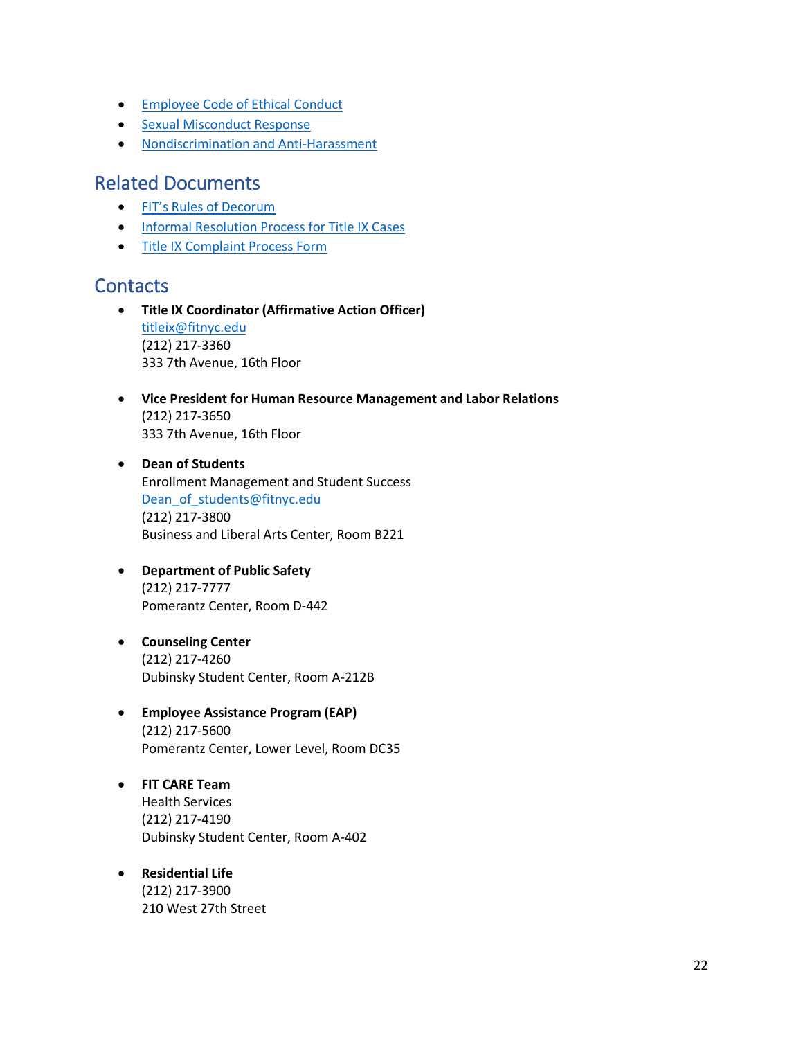- [Employee Code of Ethical Conduct](http://www.fitnyc.edu/policies/hr/employee-code-of-ethical-conduct.php)
- [Sexual Misconduct Response](http://www.fitnyc.edu/policies/safety-security/sexual-assault-stalking-abuse.php)
- [Nondiscrimination and Anti-Harassment](http://www.fitnyc.edu/policies/college/nondiscrimination.php)

# Related Documents

- [FIT's Rules of Decorum](https://drive.google.com/file/d/1f7JtsmflGePdNqf4qD-l4aRVaniNKTQw/view)
- [Informal Resolution Process for Title IX Cases](https://www.fitnyc.edu/safety/abuse-stalking-sexual-violence/informal-process.php)
- [Title IX Complaint Process Form](https://www.fitnyc.edu/safety/abuse-stalking-sexual-violence/complaint-process-forms.php)

# **Contacts**

- **Title IX Coordinator (Affirmative Action Officer)** [titleix@fitnyc.edu](mailto:titleix@fitnyc.edu) (212) 217-3360 333 7th Avenue, 16th Floor
- **Vice President for Human Resource Management and Labor Relations** (212) 217-3650 333 7th Avenue, 16th Floor
- **Dean of Students**  Enrollment Management and Student Success Dean of students@fitnyc.edu (212) 217-3800 Business and Liberal Arts Center, Room B221
- **Department of Public Safety** (212) 217-7777 Pomerantz Center, Room D-442
- **Counseling Center** (212) 217-4260 Dubinsky Student Center, Room A-212B
- **Employee Assistance Program (EAP)** (212) 217-5600 Pomerantz Center, Lower Level, Room DC35
- **FIT CARE Team** Health Services (212) 217-4190 Dubinsky Student Center, Room A-402
- **Residential Life** (212) 217-3900 210 West 27th Street